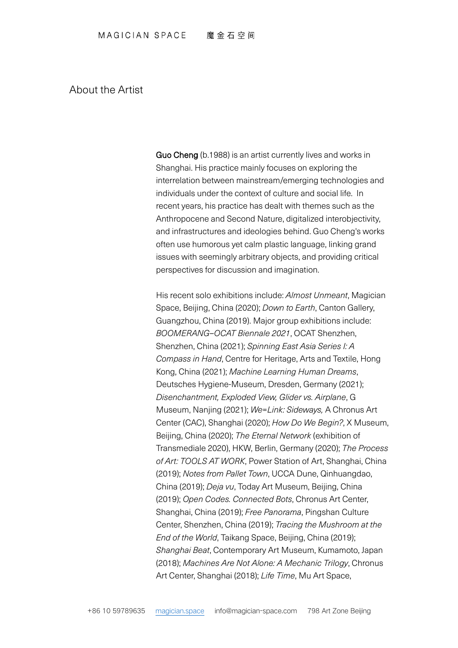## About the Artist

Guo Cheng (b.1988) is an artist currently lives and works in Shanghai. His practice mainly focuses on exploring the interrelation between mainstream/emerging technologies and individuals under the context of culture and social life. In recent years, his practice has dealt with themes such as the Anthropocene and Second Nature, digitalized interobjectivity, and infrastructures and ideologies behind. Guo Cheng's works often use humorous yet calm plastic language, linking grand issues with seemingly arbitrary objects, and providing critical perspectives for discussion and imagination.

His recent solo exhibitions include: *Almost Unmeant*, Magician Space, Beijing, China (2020); *Down to Earth*, Canton Gallery, Guangzhou, China (2019). Major group exhibitions include: *BOOMERANG–OCAT Biennale 2021*, OCAT Shenzhen, Shenzhen, China (2021); *Spinning East Asia Series I: A Compass in Hand*, Centre for Heritage, Arts and Textile, Hong Kong, China (2021); *Machine Learning Human Dreams*, Deutsches Hygiene-Museum, Dresden, Germany (2021); *Disenchantment, Exploded View, Glider vs. Airplane*, G Museum, Nanjing (2021); *We=Link: Sideways,* A Chronus Art Center (CAC), Shanghai (2020); *How Do We Begin?*, X Museum, Beijing, China (2020); *The Eternal Network* (exhibition of Transmediale 2020), HKW, Berlin, Germany (2020); *The Process of Art: TOOLS AT WORK*, Power Station of Art, Shanghai, China (2019); *Notes from Pallet Town*, UCCA Dune, Qinhuangdao, China (2019); *Deja vu*, Today Art Museum, Beijing, China (2019); *Open Codes. Connected Bots*, Chronus Art Center, Shanghai, China (2019); *Free Panorama*, Pingshan Culture Center, Shenzhen, China (2019); *Tracing the Mushroom at the End of the World*, Taikang Space, Beijing, China (2019); *Shanghai Beat*, Contemporary Art Museum, Kumamoto, Japan (2018); *Machines Are Not Alone: A Mechanic Trilogy*, Chronus Art Center, Shanghai (2018); *Life Time*, Mu Art Space,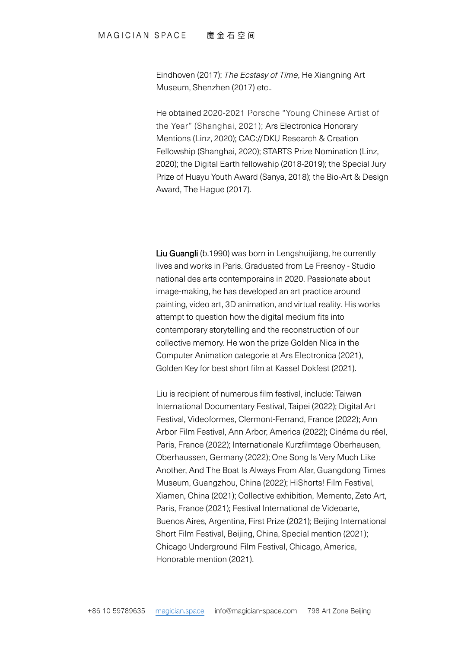Eindhoven (2017); *The Ecstasy of Time*, He Xiangning Art Museum, Shenzhen (2017) etc..

He obtained 2020-2021 Porsche "Young Chinese Artist of the Year" (Shanghai, 2021); Ars Electronica Honorary Mentions (Linz, 2020); CAC://DKU Research & Creation Fellowship (Shanghai, 2020); STARTS Prize Nomination (Linz, 2020); the Digital Earth fellowship (2018-2019); the Special Jury Prize of Huayu Youth Award (Sanya, 2018); the Bio-Art & Design Award, The Hague (2017).

Liu Guangli (b.1990) was born in Lengshuijiang, he currently lives and works in Paris. Graduated from Le Fresnoy - Studio national des arts contemporains in 2020. Passionate about image-making, he has developed an art practice around painting, video art, 3D animation, and virtual reality. His works attempt to question how the digital medium fits into contemporary storytelling and the reconstruction of our collective memory. He won the prize Golden Nica in the Computer Animation categorie at Ars Electronica (2021), Golden Key for best short film at Kassel Dokfest (2021).

Liu is recipient of numerous film festival, include: Taiwan International Documentary Festival, Taipei (2022); Digital Art Festival, Videoformes, Clermont-Ferrand, France (2022); Ann Arbor Film Festival, Ann Arbor, America (2022); Cinéma du réel, Paris, France (2022); Internationale Kurzfilmtage Oberhausen, Oberhaussen, Germany (2022); One Song Is Very Much Like Another, And The Boat Is Always From Afar, Guangdong Times Museum, Guangzhou, China (2022); HiShorts! Film Festival, Xiamen, China (2021); Collective exhibition, Memento, Zeto Art, Paris, France (2021); Festival International de Videoarte, Buenos Aires, Argentina, First Prize (2021); Beijing International Short Film Festival, Beijing, China, Special mention (2021); Chicago Underground Film Festival, Chicago, America, Honorable mention (2021).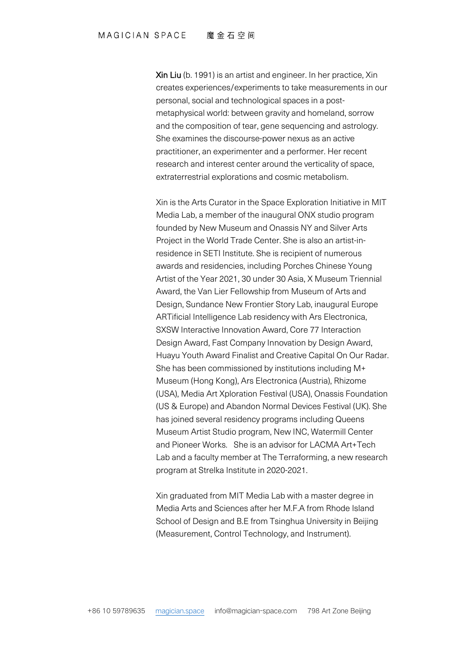Xin Liu (b. 1991) is an artist and engineer. In her practice, Xin creates experiences/experiments to take measurements in our personal, social and technological spaces in a postmetaphysical world: between gravity and homeland, sorrow and the composition of tear, gene sequencing and astrology. She examines the discourse-power nexus as an active practitioner, an experimenter and a performer. Her recent research and interest center around the verticality of space, extraterrestrial explorations and cosmic metabolism.

Xin is the Arts Curator in the Space Exploration Initiative in MIT Media Lab, a member of the inaugural ONX studio program founded by New Museum and Onassis NY and Silver Arts Project in the World Trade Center. She is also an artist-inresidence in SETI Institute. She is recipient of numerous awards and residencies, including Porches Chinese Young Artist of the Year 2021, 30 under 30 Asia, X Museum Triennial Award, the Van Lier Fellowship from Museum of Arts and Design, Sundance New Frontier Story Lab, inaugural Europe ARTificial Intelligence Lab residency with Ars Electronica, SXSW Interactive Innovation Award, Core 77 Interaction Design Award, Fast Company Innovation by Design Award, Huayu Youth Award Finalist and Creative Capital On Our Radar. She has been commissioned by institutions including M+ Museum (Hong Kong), Ars Electronica (Austria), Rhizome (USA), Media Art Xploration Festival (USA), Onassis Foundation (US & Europe) and Abandon Normal Devices Festival (UK). She has joined several residency programs including Queens Museum Artist Studio program, New INC, Watermill Center and Pioneer Works. She is an advisor for LACMA Art+Tech Lab and a faculty member at The Terraforming, a new research program at Strelka Institute in 2020-2021.

Xin graduated from MIT Media Lab with a master degree in Media Arts and Sciences after her M.F.A from Rhode Island School of Design and B.E from Tsinghua University in Beijing (Measurement, Control Technology, and Instrument).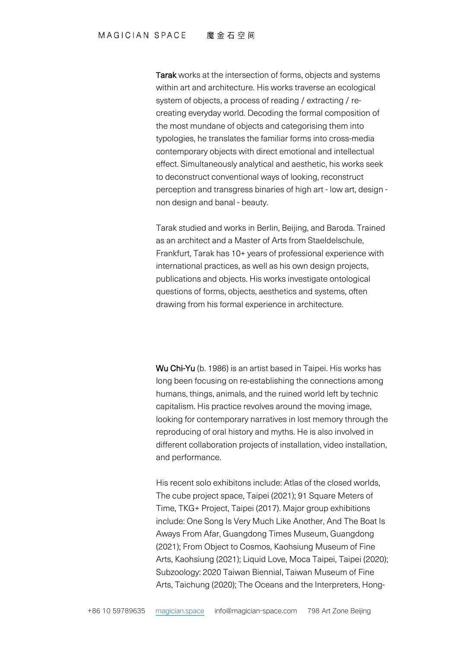Tarak works at the intersection of forms, objects and systems within art and architecture. His works traverse an ecological system of objects, a process of reading / extracting / recreating everyday world. Decoding the formal composition of the most mundane of objects and categorising them into typologies, he translates the familiar forms into cross-media contemporary objects with direct emotional and intellectual effect. Simultaneously analytical and aesthetic, his works seek to deconstruct conventional ways of looking, reconstruct perception and transgress binaries of high art - low art, design non design and banal - beauty.

Tarak studied and works in Berlin, Beijing, and Baroda. Trained as an architect and a Master of Arts from Staeldelschule, Frankfurt, Tarak has 10+ years of professional experience with international practices, as well as his own design projects, publications and objects. His works investigate ontological questions of forms, objects, aesthetics and systems, often drawing from his formal experience in architecture.

Wu Chi-Yu (b. 1986) is an artist based in Taipei. His works has long been focusing on re-establishing the connections among humans, things, animals, and the ruined world left by technic capitalism. His practice revolves around the moving image, looking for contemporary narratives in lost memory through the reproducing of oral history and myths. He is also involved in different collaboration projects of installation, video installation, and performance.

His recent solo exhibitons include: Atlas of the closed worlds, The cube project space, Taipei (2021); 91 Square Meters of Time, TKG+ Project, Taipei (2017). Major group exhibitions include: One Song Is Very Much Like Another, And The Boat Is Aways From Afar, Guangdong Times Museum, Guangdong (2021); From Object to Cosmos, Kaohsiung Museum of Fine Arts, Kaohsiung (2021); Liquid Love, Moca Taipei, Taipei (2020); Subzoology: 2020 Taiwan Biennial, Taiwan Museum of Fine Arts, Taichung (2020); The Oceans and the Interpreters, Hong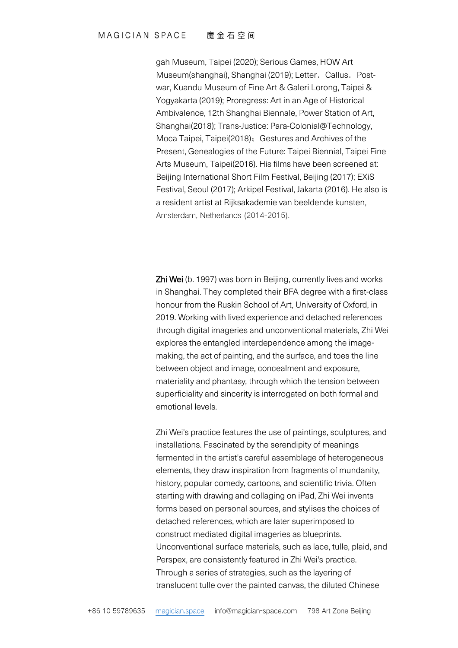gah Museum, Taipei (2020); Serious Games, HOW Art Museum(shanghai), Shanghai (2019); Letter. Callus. Postwar, Kuandu Museum of Fine Art & Galeri Lorong, Taipei & Yogyakarta (2019); Proregress: Art in an Age of Historical Ambivalence, 12th Shanghai Biennale, Power Station of Art, Shanghai(2018); Trans-Justice: Para-Colonial@Technology, Moca Taipei, Taipei(2018); Gestures and Archives of the Present, Genealogies of the Future: Taipei Biennial, Taipei Fine Arts Museum, Taipei(2016). His films have been screened at: Beijing International Short Film Festival, Beijing (2017); EXiS Festival, Seoul (2017); Arkipel Festival, Jakarta (2016). He also is a resident artist at Rijksakademie van beeldende kunsten. Amsterdam, Netherlands (2014-2015).

Zhi Wei (b. 1997) was born in Beijing, currently lives and works in Shanghai. They completed their BFA degree with a first-class honour from the Ruskin School of Art, University of Oxford, in 2019. Working with lived experience and detached references through digital imageries and unconventional materials, Zhi Wei explores the entangled interdependence among the imagemaking, the act of painting, and the surface, and toes the line between object and image, concealment and exposure, materiality and phantasy, through which the tension between superficiality and sincerity is interrogated on both formal and emotional levels.

Zhi Wei's practice features the use of paintings, sculptures, and installations. Fascinated by the serendipity of meanings fermented in the artist's careful assemblage of heterogeneous elements, they draw inspiration from fragments of mundanity, history, popular comedy, cartoons, and scientific trivia. Often starting with drawing and collaging on iPad, Zhi Wei invents forms based on personal sources, and stylises the choices of detached references, which are later superimposed to construct mediated digital imageries as blueprints. Unconventional surface materials, such as lace, tulle, plaid, and Perspex, are consistently featured in Zhi Wei's practice. Through a series of strategies, such as the layering of translucent tulle over the painted canvas, the diluted Chinese